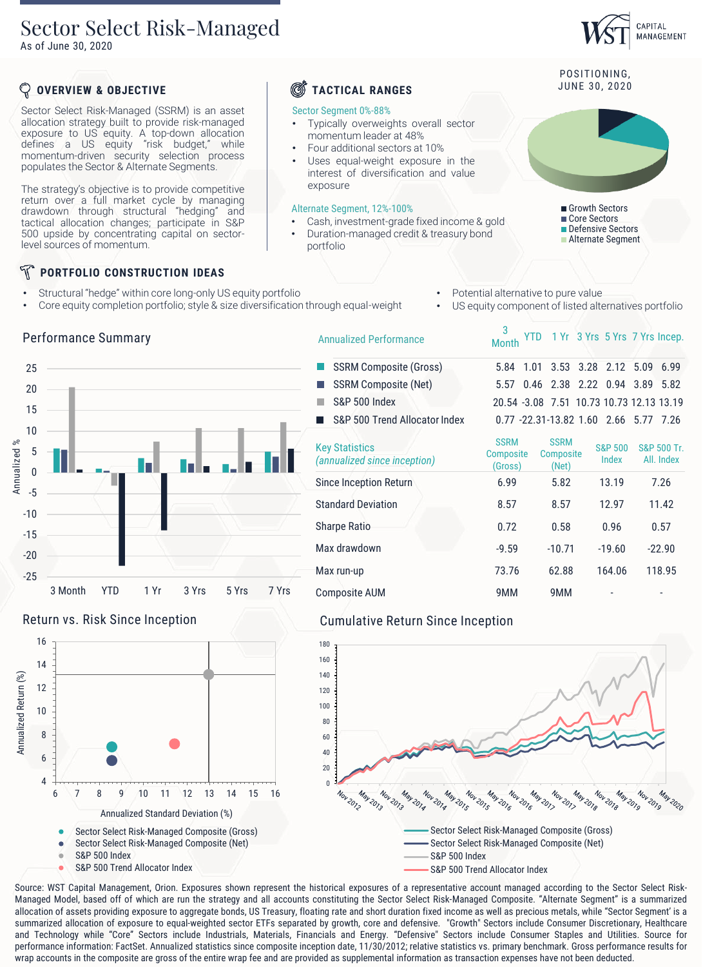## Sector Select Risk-Managed

As of June 30, 2020

### **OVERVIEW & OBJECTIVE**

Sector Select Risk-Managed (SSRM) is an asset allocation strategy built to provide risk-managed exposure to US equity. A top-down allocation defines a US equity "risk budget," while momentum-driven security selection process populates the Sector & Alternate Segments.

The strategy's objective is to provide competitive return over a full market cycle by managing drawdown through structural "hedging" and tactical allocation changes; participate in S&P 500 upside by concentrating capital on sectorlevel sources of momentum.

### N **PORTFOLIO CONSTRUCTION IDEAS**

- Structural "hedge" within core long-only US equity portfolio
- Core equity completion portfolio; style & size diversification through equal-weight
- Potential alternative to pure value

3<br>Month

SSRM Composite (Gross) 5.84 1.01 3.53 3.28 2.12 5.09 6.99

Sharpe Ratio 0.72 0.58 0.96 0.57 Max drawdown -9.59 -9.59 -10.71 -19.60 -22.90 Max run-up 73.76 62.88 164.06 118.95

US equity component of listed alternatives portfolio

|               | SSRM Composite (Net)                                  |                                     | 5.57 0.46 2.38 2.22 0.94 3.89 5.8         |                             |                      |
|---------------|-------------------------------------------------------|-------------------------------------|-------------------------------------------|-----------------------------|----------------------|
|               | <b>S&amp;P 500 Index</b>                              |                                     | 20.54 -3.08 7.51 10.73 10.73 12.13 13.1   |                             |                      |
|               | S&P 500 Trend Allocator Index                         |                                     | $0.77 - 22.31 - 13.82$ 1.60 2.66 5.77 7.2 |                             |                      |
| Adamada di In | <b>Key Statistics</b><br>(annualized since inception) | <b>SSRM</b><br>Composite<br>(Gross) | <b>SSRM</b><br>Composite<br>(Net)         | <b>S&amp;P 500</b><br>Index | S&P 500<br>All. Inde |
|               | <b>Since Inception Return</b>                         | 6.99                                | 5.82                                      | 13.19                       | 7.26                 |
|               | <b>Standard Deviation</b>                             | 8.57                                | 8.57                                      | 12.97                       | 11.42                |

Sector Segment 0%-88%

exposure

portfolio

Alternate Segment, 12%-100%

Annualized Performance

• Typically overweights overall sector

• Cash, investment-grade fixed income & gold • Duration-managed credit & treasury bond

momentum leader at 48% • Four additional sectors at 10% Uses equal-weight exposure in the interest of diversification and value

### Performance Summary





Composite AUM 9MM 9MM - -



Source: WST Capital Management, Orion. Exposures shown represent the historical exposures of a representative account managed according to the Sector Select Risk-Managed Model, based off of which are run the strategy and all accounts constituting the Sector Select Risk-Managed Composite. "Alternate Segment" is a summarized allocation of assets providing exposure to aggregate bonds, US Treasury, floating rate and short duration fixed income as well as precious metals, while "Sector Segment' is a summarized allocation of exposure to equal-weighted sector ETFs separated by growth, core and defensive. "Growth" Sectors include Consumer Discretionary, Healthcare and Technology while "Core" Sectors include Industrials, Materials, Financials and Energy. "Defensive" Sectors include Consumer Staples and Utilities. Source for performance information: FactSet. Annualized statistics since composite inception date, 11/30/2012; relative statistics vs. primary benchmark. Gross performance results for wrap accounts in the composite are gross of the entire wrap fee and are provided as supplemental information as transaction expenses have not been deducted.

# **S** TACTICAL RANGES JUNE 30, 2020



Growth Sectors Core Sectors Defensive Sectors

**Alternate Segment** 

YTD 1 Yr 3 Yrs 5 Yrs 7 Yrs Incep.

 $2.22$  0.94 3.89 5.82 10.73 10.73 12.13 13.19 1.60 2.66 5.77 7.26

> S&P 500 Tr. All. Index



CAPITAL